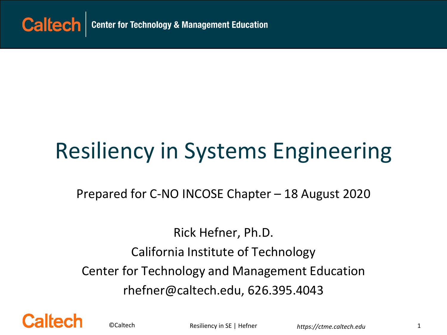

# Resiliency in Systems Engineering

Prepared for C-NO INCOSE Chapter – 18 August 2020

Rick Hefner, Ph.D. California Institute of Technology Center for Technology and Management Education rhefner@caltech.edu, 626.395.4043



©Caltech **https://containergere.com**<br>Resiliency in SE | Hefner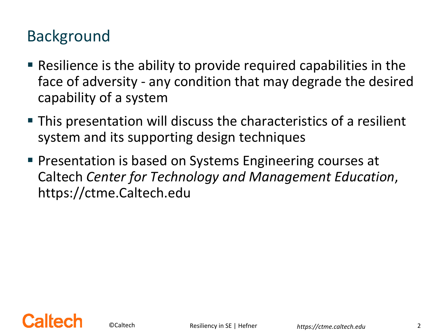#### Background

- Resilience is the ability to provide required capabilities in the face of adversity - any condition that may degrade the desired capability of a system
- This presentation will discuss the characteristics of a resilient system and its supporting design techniques
- **Presentation is based on Systems Engineering courses at** Caltech *Center for Technology and Management Education*, https://ctme.Caltech.edu

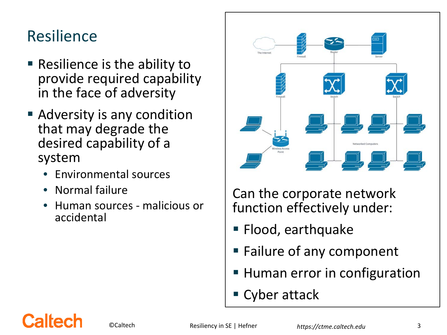#### Resilience

- **Resilience is the ability to** provide required capability in the face of adversity
- Adversity is any condition that may degrade the desired capability of a system
	- Environmental sources
	- Normal failure
	- Human sources malicious or accidental



Can the corporate network function effectively under:

- **Flood, earthquake**
- **Failure of any component**
- **Human error in configuration**
- Cyber attack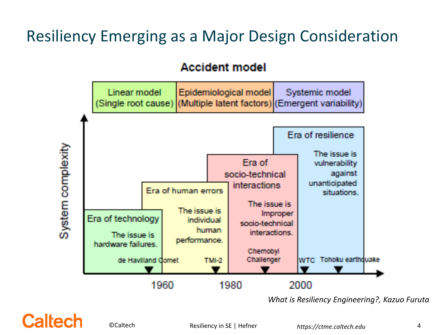# Resiliency Emerging as a Major Design Consideration

#### **Accident model**



*What is Resiliency Engineering?, Kazuo Furuta*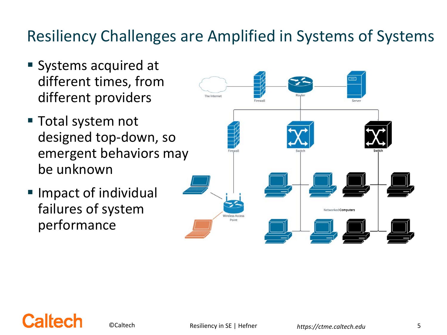# Resiliency Challenges are Amplified in Systems of Systems

- **Systems acquired at** different times, from different providers
- Total system not designed top-down, so emergent behaviors may be unknown
- **Impact of individual** failures of system performance

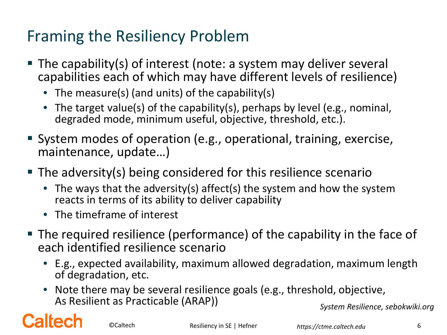# Framing the Resiliency Problem

- The capability(s) of interest (note: a system may deliver several capabilities each of which may have different levels of resilience)
	- The measure(s) (and units) of the capability(s)
	- The target value(s) of the capability(s), perhaps by level (e.g., nominal, degraded mode, minimum useful, objective, threshold, etc.).
- System modes of operation (e.g., operational, training, exercise, maintenance, update…)
- The adversity(s) being considered for this resilience scenario
	- The ways that the adversity(s) affect(s) the system and how the system reacts in terms of its ability to deliver capability
	- The timeframe of interest
- The required resilience (performance) of the capability in the face of each identified resilience scenario
	- E.g., expected availability, maximum allowed degradation, maximum length of degradation, etc.
	- Note there may be several resilience goals (e.g., threshold, objective, As Resilient as Practicable (ARAP)) *System Resilience, sebokwiki.org*

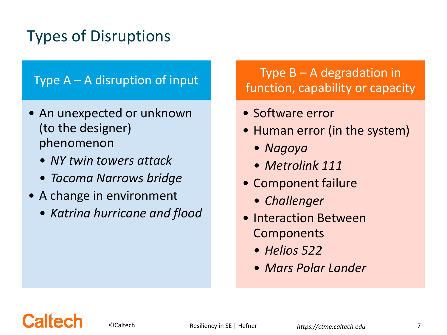# Types of Disruptions

#### Type  $A - A$  disruption of input

- An unexpected or unknown (to the designer) phenomenon
	- *NY twin towers attack*
	- *Tacoma Narrows bridge*
- A change in environment
	- *Katrina hurricane and flood*

#### Type  $B - A$  degradation in function, capability or capacity

- Software error
- Human error (in the system)
	- *Nagoya*
	- *Metrolink 111*
- Component failure
	- *Challenger*
- Interaction Between Components
	- *Helios 522*
	- *Mars Polar Lander*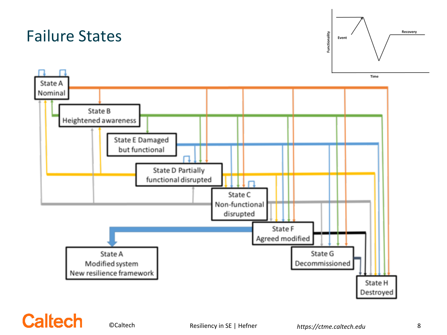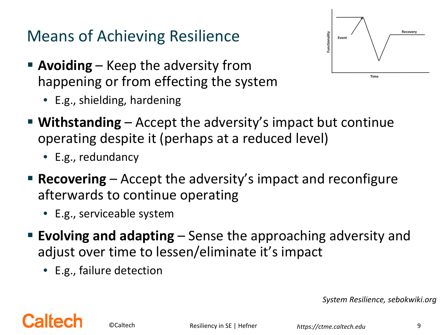# Means of Achieving Resilience

- **Avoiding** Keep the adversity from happening or from effecting the system
	- E.g., shielding, hardening



- **Withstanding**  Accept the adversity's impact but continue operating despite it (perhaps at a reduced level)
	- E.g., redundancy
- **Recovering** Accept the adversity's impact and reconfigure afterwards to continue operating
	- E.g., serviceable system
- **Evolving and adapting**  Sense the approaching adversity and adjust over time to lessen/eliminate it's impact
	- E.g., failure detection

*System Resilience, sebokwiki.org*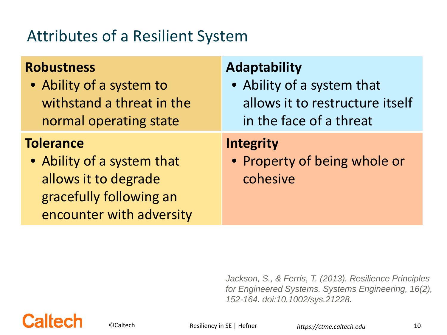#### Attributes of a Resilient System

| <b>Robustness</b>                                                                                                             | <b>Adaptability</b>                                          |
|-------------------------------------------------------------------------------------------------------------------------------|--------------------------------------------------------------|
| • Ability of a system to                                                                                                      | • Ability of a system that                                   |
| withstand a threat in the                                                                                                     | allows it to restructure itself                              |
| normal operating state                                                                                                        | in the face of a threat                                      |
| <b>Tolerance</b><br>• Ability of a system that<br>allows it to degrade<br>gracefully following an<br>encounter with adversity | <b>Integrity</b><br>• Property of being whole or<br>cohesive |

*Jackson, S., & Ferris, T. (2013). Resilience Principles for Engineered Systems. Systems Engineering, 16(2), 152-164. doi:10.1002/sys.21228.* 



©Caltech **https://ctme.caltech.edu** 10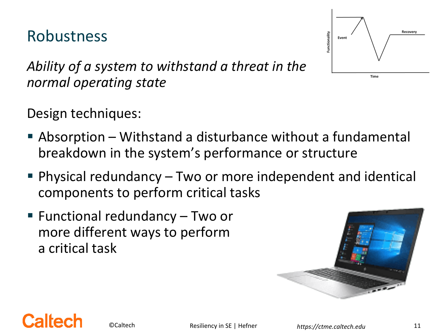#### Robustness



*Ability of a system to withstand a threat in the normal operating state* 

Design techniques:

- Absorption Withstand a disturbance without a fundamental breakdown in the system's performance or structure
- Physical redundancy Two or more independent and identical components to perform critical tasks
- Functional redundancy Two or more different ways to perform a critical task



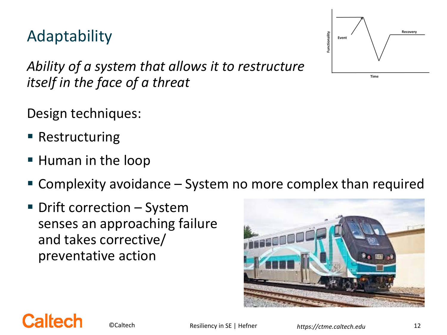©Caltech *https://ctme.caltech.edu* Resiliency in SE | Hefner 12

*Ability of a system that allows it to restructure itself in the face of a threat*

Design techniques:

■ Restructuring

**Caltect** 

Adaptability

- **Human in the loop**
- Complexity avoidance System no more complex than required
- Drift correction System senses an approaching failure and takes corrective/ preventative action



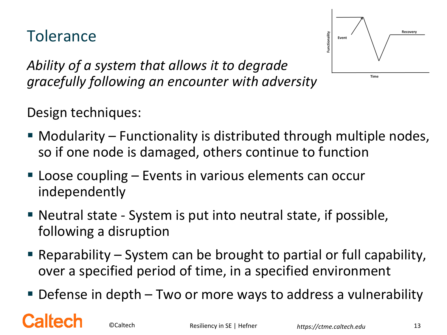#### **Tolerance**



*Ability of a system that allows it to degrade gracefully following an encounter with adversity*

Design techniques:

- Modularity Functionality is distributed through multiple nodes, so if one node is damaged, others continue to function
- Loose coupling Events in various elements can occur independently
- Neutral state System is put into neutral state, if possible, following a disruption
- Reparability System can be brought to partial or full capability, over a specified period of time, in a specified environment
- Defense in depth Two or more ways to address a vulnerability

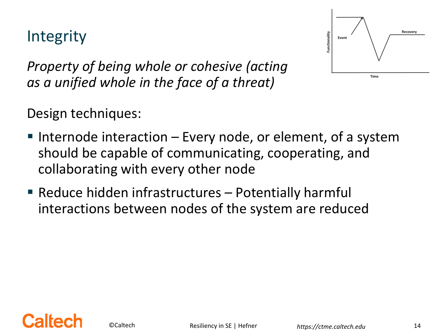#### Integrity



*Property of being whole or cohesive (acting as a unified whole in the face of a threat)*

Design techniques:

- Internode interaction  $-$  Every node, or element, of a system should be capable of communicating, cooperating, and collaborating with every other node
- **Reduce hidden infrastructures Potentially harmful** interactions between nodes of the system are reduced

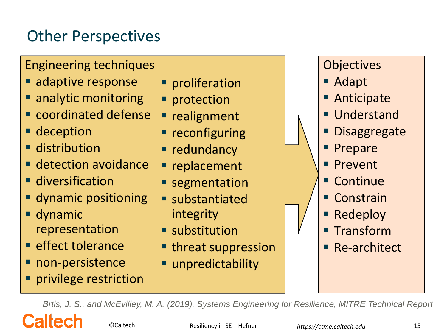# Other Perspectives

#### Engineering techniques

- **adaptive response**
- analytic monitoring
- **Exercicle defense**
- **deception**
- **distribution**
- **detection avoidance**
- **diversification**
- dynamic positioning
- dynamic representation
- **E** effect tolerance
- **non-persistence**

Caltec

privilege restriction

- **Peroliferation**
- **Perotection**
- **realignment**
- **reconfiguring**
- **redundancy**
- **replacement**
- **segmentation**
- substantiated integrity
- **substitution**
- **threat suppression**
- unpredictability



- Adapt
- **Anticipate**
- **Understand**
- **Disaggregate**
- Prepare
- **Prevent**
- Continue
- Constrain
- Redeploy
- **Transform**
- Re-architect

*Brtis, J. S., and McEvilley, M. A. (2019). Systems Engineering for Resilience, MITRE Technical Report*

©Caltech **https://containergere.com**<br>Resiliency in SE | Hefner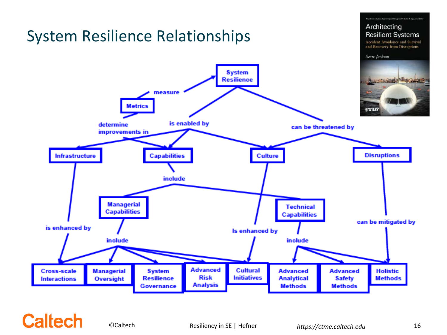

#### **Caltech**